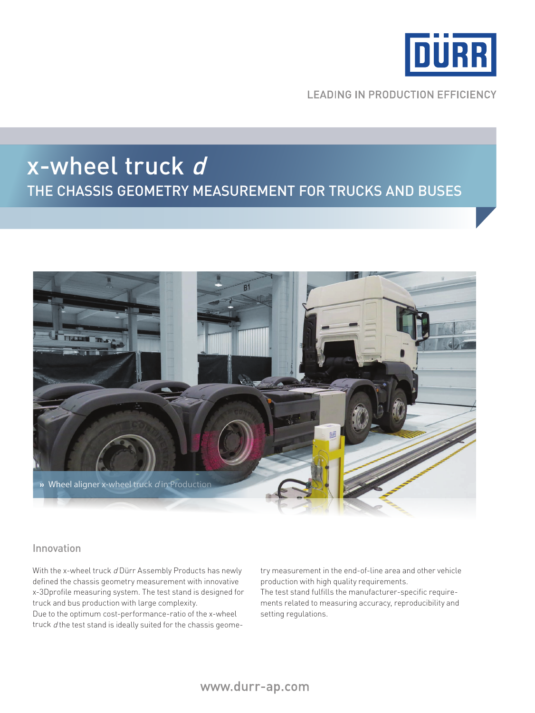

**LEADING IN PRODUCTION EFFICIENCY** 

# x-wheel truck d The chassis geometry measurement for trucks and buses



#### Innovation

With the x-wheel truck d Dürr Assembly Products has newly defined the chassis geometry measurement with innovative x-3Dprofile measuring system. The test stand is designed for truck and bus production with large complexity.

Due to the optimum cost-performance-ratio of the x-wheel truck d the test stand is ideally suited for the chassis geometry measurement in the end-of-line area and other vehicle production with high quality requirements.

The test stand fulfills the manufacturer-specific requirements related to measuring accuracy, reproducibility and setting regulations.